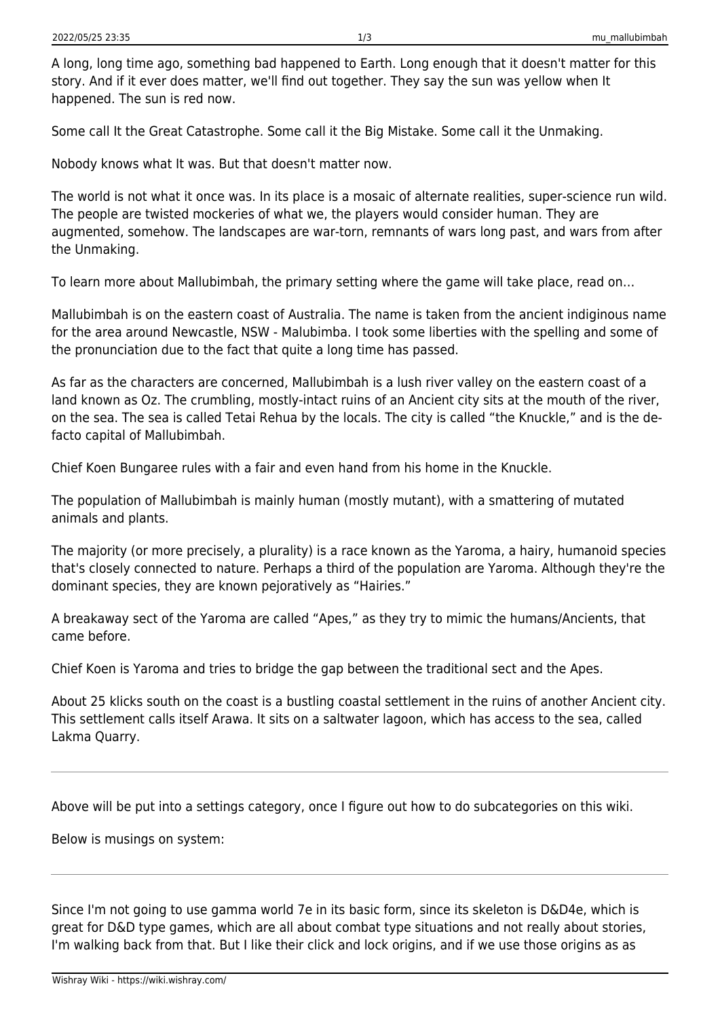A long, long time ago, something bad happened to Earth. Long enough that it doesn't matter for this story. And if it ever does matter, we'll find out together. They say the sun was yellow when It happened. The sun is red now.

Some call It the Great Catastrophe. Some call it the Big Mistake. Some call it the Unmaking.

Nobody knows what It was. But that doesn't matter now.

The world is not what it once was. In its place is a mosaic of alternate realities, super-science run wild. The people are twisted mockeries of what we, the players would consider human. They are augmented, somehow. The landscapes are war-torn, remnants of wars long past, and wars from after the Unmaking.

To learn more about Mallubimbah, the primary setting where the game will take place, read on…

Mallubimbah is on the eastern coast of Australia. The name is taken from the ancient indiginous name for the area around Newcastle, NSW - Malubimba. I took some liberties with the spelling and some of the pronunciation due to the fact that quite a long time has passed.

As far as the characters are concerned, Mallubimbah is a lush river valley on the eastern coast of a land known as Oz. The crumbling, mostly-intact ruins of an Ancient city sits at the mouth of the river, on the sea. The sea is called Tetai Rehua by the locals. The city is called "the Knuckle," and is the defacto capital of Mallubimbah.

Chief Koen Bungaree rules with a fair and even hand from his home in the Knuckle.

The population of Mallubimbah is mainly human (mostly mutant), with a smattering of mutated animals and plants.

The majority (or more precisely, a plurality) is a race known as the Yaroma, a hairy, humanoid species that's closely connected to nature. Perhaps a third of the population are Yaroma. Although they're the dominant species, they are known pejoratively as "Hairies."

A breakaway sect of the Yaroma are called "Apes," as they try to mimic the humans/Ancients, that came before.

Chief Koen is Yaroma and tries to bridge the gap between the traditional sect and the Apes.

About 25 klicks south on the coast is a bustling coastal settlement in the ruins of another Ancient city. This settlement calls itself Arawa. It sits on a saltwater lagoon, which has access to the sea, called Lakma Quarry.

Above will be put into a settings category, once I figure out how to do subcategories on this wiki.

Below is musings on system:

Since I'm not going to use gamma world 7e in its basic form, since its skeleton is D&D4e, which is great for D&D type games, which are all about combat type situations and not really about stories, I'm walking back from that. But I like their click and lock origins, and if we use those origins as as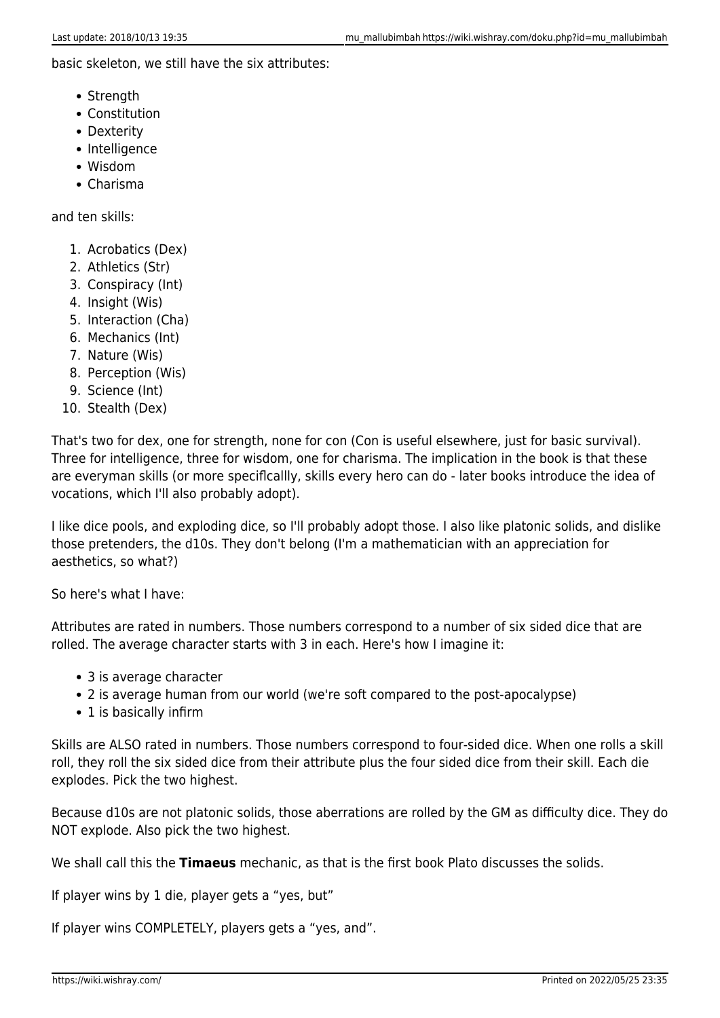basic skeleton, we still have the six attributes:

- Strength
- Constitution
- Dexterity
- Intelligence
- Wisdom
- Charisma

and ten skills:

- 1. Acrobatics (Dex)
- 2. Athletics (Str)
- 3. Conspiracy (Int)
- 4. Insight (Wis)
- 5. Interaction (Cha)
- 6. Mechanics (Int)
- 7. Nature (Wis)
- 8. Perception (Wis)
- 9. Science (Int)
- 10. Stealth (Dex)

That's two for dex, one for strength, none for con (Con is useful elsewhere, just for basic survival). Three for intelligence, three for wisdom, one for charisma. The implication in the book is that these are everyman skills (or more speciflcallly, skills every hero can do - later books introduce the idea of vocations, which I'll also probably adopt).

I like dice pools, and exploding dice, so I'll probably adopt those. I also like platonic solids, and dislike those pretenders, the d10s. They don't belong (I'm a mathematician with an appreciation for aesthetics, so what?)

So here's what I have:

Attributes are rated in numbers. Those numbers correspond to a number of six sided dice that are rolled. The average character starts with 3 in each. Here's how I imagine it:

- 3 is average character
- 2 is average human from our world (we're soft compared to the post-apocalypse)
- 1 is basically infirm

Skills are ALSO rated in numbers. Those numbers correspond to four-sided dice. When one rolls a skill roll, they roll the six sided dice from their attribute plus the four sided dice from their skill. Each die explodes. Pick the two highest.

Because d10s are not platonic solids, those aberrations are rolled by the GM as difficulty dice. They do NOT explode. Also pick the two highest.

We shall call this the **Timaeus** mechanic, as that is the first book Plato discusses the solids.

If player wins by 1 die, player gets a "yes, but"

If player wins COMPLETELY, players gets a "yes, and".